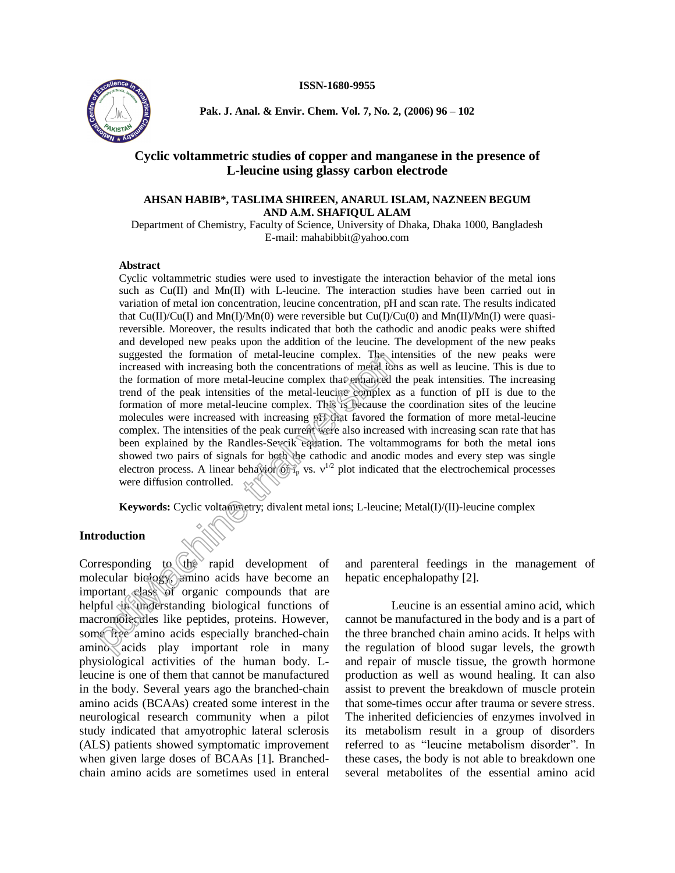### **ISSN-1680-9955**



**Pak. J. Anal. & Envir. Chem. Vol. 7, No. 2, (2006) 96 ñ 102**

# **Cyclic voltammetric studies of copper and manganese in the presence of L-leucine using glassy carbon electrode**

## **AHSAN HABIB\*, TASLIMA SHIREEN, ANARUL ISLAM, NAZNEEN BEGUM AND A.M. SHAFIQUL ALAM**

Department of Chemistry, Faculty of Science, University of Dhaka, Dhaka 1000, Bangladesh E-mail: [mahabibbit@yahoo.com](mailto:mahabibbit@yahoo.com)

### **Abstract**

Cyclic voltammetric studies were used to investigate the interaction behavior of the metal ions such as Cu(II) and Mn(II) with L-leucine. The interaction studies have been carried out in variation of metal ion concentration, leucine concentration, pH and scan rate. The results indicated that  $Cu(II)/Cu(I)$  and  $Mn(I)/Mn(0)$  were reversible but  $Cu(I)/Cu(0)$  and  $Mn(II)/Mn(I)$  were quasireversible. Moreover, the results indicated that both the cathodic and anodic peaks were shifted and developed new peaks upon the addition of the leucine. The development of the new peaks suggested the formation of metal-leucine complex. The intensities of the new peaks were increased with increasing both the concentrations of metal ions as well as leucine. This is due to the formation of more metal-leucine complex that enhanced the peak intensities. The increasing trend of the peak intensities of the metal-leucine complex as a function of pH is due to the formation of more metal-leucine complex. This is because the coordination sites of the leucine molecules were increased with increasing pH that favored the formation of more metal-leucine complex. The intensities of the peak current were also increased with increasing scan rate that has been explained by the Randles-Sevcik equation. The voltammograms for both the metal ions showed two pairs of signals for both the cathodic and anodic modes and every step was single electron process. A linear behavior  $\langle \delta f \rangle$  vs.  $v^{1/2}$  plot indicated that the electrochemical processes were diffusion controlled. suggested the formation of metal-leucine complex. The increased with increasing both the concentrations of medal-leucine complex that the offer the formation of more metal-leucine complex. This special trend of the peak i

Keywords: Cyclic voltammetry; divalent metal ions; L-leucine; Metal(I)/(II)-leucine complex

## **Introduction**

Corresponding to the rapid development of molecular biology, amino acids have become an important class of organic compounds that are helpful in understanding biological functions of macromolecules like peptides, proteins. However, some free amino acids especially branched-chain amino acids play important role in many physiological activities of the human body. Lleucine is one of them that cannot be manufactured in the body. Several years ago the branched-chain amino acids (BCAAs) created some interest in the neurological research community when a pilot study indicated that amyotrophic lateral sclerosis (ALS) patients showed symptomatic improvement when given large doses of BCAAs [1]. Branched chain amino acids are sometimes used in enteral

and parenteral feedings in the management of hepatic encephalopathy [2].

Leucine is an essential amino acid, which cannot be manufactured in the body and is a part of the three branched chain amino acids. It helps with the regulation of blood sugar levels, the growth and repair of muscle tissue, the growth hormone production as well as wound healing. It can also assist to prevent the breakdown of muscle protein that some-times occur after trauma or severe stress. The inherited deficiencies of enzymes involved in its metabolism result in a group of disorders referred to as "leucine metabolism disorder". In these cases, the body is not able to breakdown one several metabolites of the essential amino acid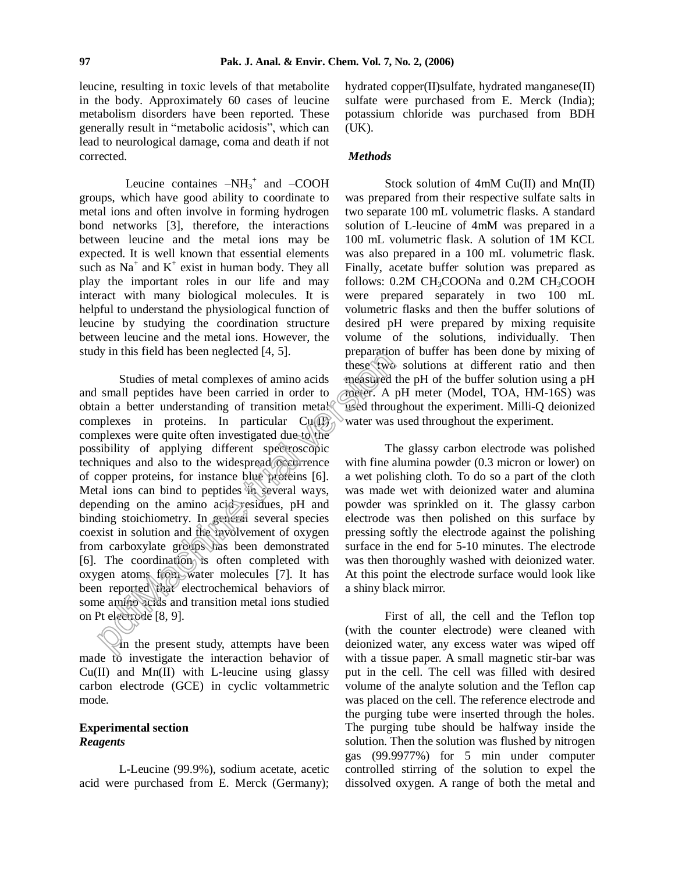leucine, resulting in toxic levels of that metabolite in the body. Approximately 60 cases of leucine metabolism disorders have been reported. These generally result in "metabolic acidosis", which can lead to neurological damage, coma and death if not corrected.

Leucine containes  $-NH_3^+$  and  $-COOH$ groups, which have good ability to coordinate to metal ions and often involve in forming hydrogen bond networks [3], therefore, the interactions between leucine and the metal ions may be expected. It is well known that essential elements such as  $Na<sup>+</sup>$  and  $K<sup>+</sup>$  exist in human body. They all play the important roles in our life and may interact with many biological molecules. It is helpful to understand the physiological function of leucine by studying the coordination structure between leucine and the metal ions. However, the study in this field has been neglected [4, 5].

Studies of metal complexes of amino acids and small peptides have been carried in order to obtain a better understanding of transition metal complexes in proteins. In particular  $Cu(\overline{U})$ complexes were quite often investigated due to the possibility of applying different spectroscopic techniques and also to the widespread occurrence of copper proteins, for instance blue proteins [6]. Metal ions can bind to peptides in several ways, depending on the amino acid residues, pH and binding stoichiometry. In general several species coexist in solution and the involvement of oxygen from carboxylate groups has been demonstrated [6]. The coordination is often completed with oxygen atoms from water molecules [7]. It has been reported that electrochemical behaviors of some amino acids and transition metal ions studied on Pt electrode [8, 9]. by in this field has been neglected  $[4, 5]$ . By experimented<br>
small peptides have been carried in order to measured the<br>
small peptides have been carried in order to measured small peptides<br>
in a better understanding of

In the present study, attempts have been made to investigate the interaction behavior of  $Cu(II)$  and  $Mn(II)$  with L-leucine using glassy carbon electrode (GCE) in cyclic voltammetric mode.

# **Experimental section** *Reagents*

L-Leucine (99.9%), sodium acetate, acetic acid were purchased from E. Merck (Germany);

hydrated copper(II)sulfate, hydrated manganese(II) sulfate were purchased from E. Merck (India); potassium chloride was purchased from BDH (UK).

### *Methods*

Stock solution of 4mM Cu(II) and Mn(II) was prepared from their respective sulfate salts in two separate 100 mL volumetric flasks. A standard solution of L-leucine of 4mM was prepared in a 100 mL volumetric flask. A solution of 1M KCL was also prepared in a 100 mL volumetric flask. Finally, acetate buffer solution was prepared as follows: 0.2M CH3COONa and 0.2M CH3COOH were prepared separately in two 100 mL volumetric flasks and then the buffer solutions of desired pH were prepared by mixing requisite volume of the solutions, individually. Then preparation of buffer has been done by mixing of these two solutions at different ratio and then measured the pH of the buffer solution using a pH meter. A pH meter (Model, TOA, HM-16S) was used throughout the experiment. Milli-Q deionized water was used throughout the experiment.

The glassy carbon electrode was polished with fine alumina powder  $(0.3 \text{ micron or lower})$  on a wet polishing cloth. To do so a part of the cloth was made wet with deionized water and alumina powder was sprinkled on it. The glassy carbon electrode was then polished on this surface by pressing softly the electrode against the polishing surface in the end for 5-10 minutes. The electrode was then thoroughly washed with deionized water. At this point the electrode surface would look like a shiny black mirror.

First of all, the cell and the Teflon top (with the counter electrode) were cleaned with deionized water, any excess water was wiped off with a tissue paper. A small magnetic stir-bar was put in the cell. The cell was filled with desired volume of the analyte solution and the Teflon cap was placed on the cell. The reference electrode and the purging tube were inserted through the holes. The purging tube should be halfway inside the solution. Then the solution was flushed by nitrogen gas (99.9977%) for 5 min under computer controlled stirring of the solution to expel the dissolved oxygen. A range of both the metal and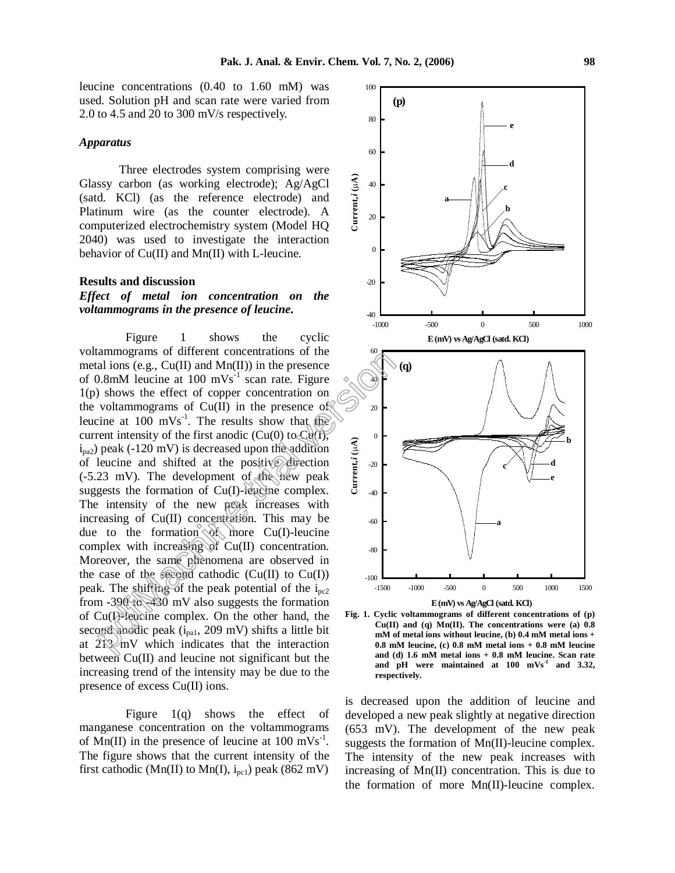leucine concentrations (0.40 to 1.60 mM) was used. Solution pH and scan rate were varied from 2.0 to 4.5 and 20 to 300 mV/s respectively.

### *Apparatus*

Three electrodes system comprising were Glassy carbon (as working electrode); Ag/AgCl (satd. KCl) (as the reference electrode) and Platinum wire (as the counter electrode). A computerized electrochemistry system (Model HQ 2040) was used to investigate the interaction behavior of Cu(II) and Mn(II) with L-leucine.

#### **Results and discussion**

## *Effect of metal ion concentration on the voltammograms in the presence of leucine***.**

Figure 1 shows the cyclic voltammograms of different concentrations of the metal ions (e.g.,  $Cu(II)$  and  $Mn(II)$ ) in the presence of 0.8mM leucine at 100 mVs<sup>-1</sup> scan rate. Figure  $\triangleleft$ 1(p) shows the effect of copper concentration on the voltammograms of  $Cu(II)$  in the presence of leucine at 100 mVs<sup>-1</sup>. The results show that the current intensity of the first anodic (Cu(0) to Cu(I),  $i<sub>pa2</sub>$ ) peak (-120 mV) is decreased upon the addition of leucine and shifted at the positive direction (-5.23 mV). The development of the new peak suggests the formation of Cu(I)-leucine complex. The intensity of the new peak increases with increasing of Cu(II) concentration. This may be due to the formation  $\Diamond$  more Cu(I)-leucine complex with increasing of Cu(II) concentration. Moreover, the same phenomena are observed in the case of the second cathodic  $(Cu(II)$  to  $Cu(I))$ peak. The shifting of the peak potential of the  $i_{\text{pc2}}$ from -390 to -430 mV also suggests the formation of Cu(I)-leucine complex. On the other hand, the second anodic peak  $(i_{pat}, 209 \text{ mV})$  shifts a little bit at  $2\sqrt{3}$  mV which indicates that the interaction between Cu(II) and leucine not significant but the increasing trend of the intensity may be due to the presence of excess Cu(II) ions. analions of uncertainties of the persion of the presence of the persion of the presence of  $\infty$  and ions (e.g., Cu(II) and Mn(II)) in the presence  $\infty$  obtaining the effect of copper concentration on voltammograms of Cu

Figure 1(q) shows the effect of manganese concentration on the voltammograms of  $\text{Mn(II)}$  in the presence of leucine at 100 mVs<sup>-1</sup>. The figure shows that the current intensity of the first cathodic (Mn(II) to Mn(I),  $i_{pc1}$ ) peak (862 mV)



**Fig. 1. Cyclic voltammograms of different concentrations of (p) Cu(II) and (q) Mn(II). The concentrations were (a) 0.8 mM of metal ions without leucine, (b) 0.4 mM metal ions + 0.8 mM leucine, (c) 0.8 mM metal ions + 0.8 mM leucine and (d) 1.6 mM metal ions + 0.8 mM leucine. Scan rate and pH were maintained at 100 mVs -1 and 3.32, respectively.**

is decreased upon the addition of leucine and developed a new peak slightly at negative direction (653 mV). The development of the new peak suggests the formation of Mn(II)-leucine complex. The intensity of the new peak increases with increasing of Mn(II) concentration. This is due to the formation of more Mn(II)-leucine complex.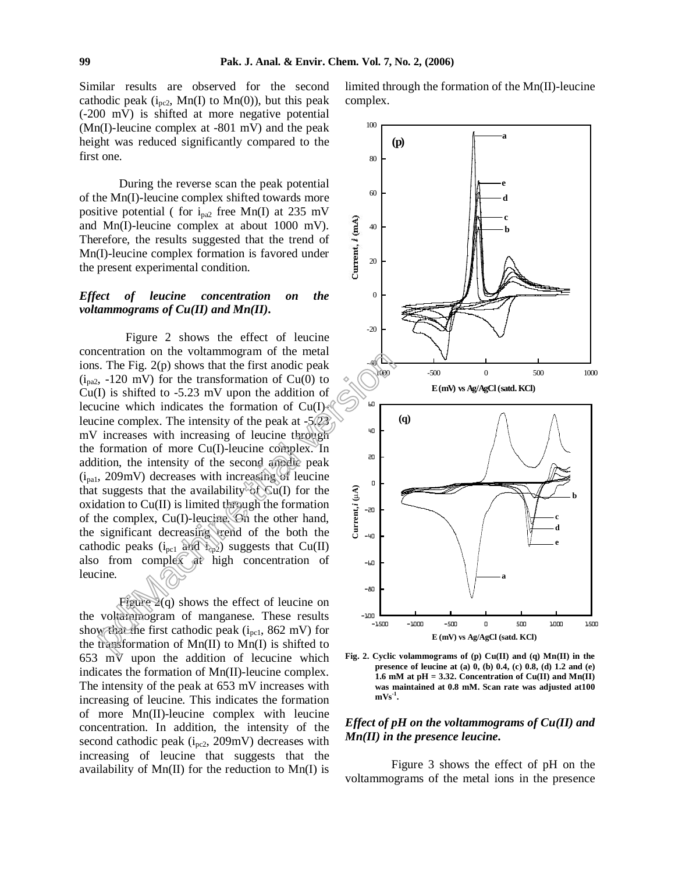Similar results are observed for the second cathodic peak  $(i_{pc2}$ , Mn(I) to Mn(0)), but this peak (-200 mV) is shifted at more negative potential (Mn(I)-leucine complex at -801 mV) and the peak height was reduced significantly compared to the first one.

During the reverse scan the peak potential of the Mn(I)-leucine complex shifted towards more positive potential ( for i<sub>pa2</sub> free Mn(I) at 235 mV<br>and Mn(I)-leucine complex at about 1000 mV).<br>Therefore, the results suggested that the trend of<br>Mn(I)-leucine complex formation is favored under<br>the present experimenta and Mn(I)-leucine complex at about 1000 mV). Therefore, the results suggested that the trend of Mn(I)-leucine complex formation is favored under the present experimental condition.

## *Effect of leucine concentration on the voltammograms of Cu(II) and Mn(II)***.**

Figure 2 shows the effect of leucine concentration on the voltammogram of the metal ions. The Fig. 2(p) shows that the first anodic peak  $(i_{pa2}, -120$  mV) for the transformation of Cu(0) to  $Cu(I)$  is shifted to -5.23 mV upon the addition of lecucine which indicates the formation of  $Cu(I)$ leucine complex. The intensity of the peak at  $-5(23)$ mV increases with increasing of leucine through the formation of more Cu(I)-leucine complex. In addition, the intensity of the second anodic peak  $(i_{\text{pal}}$ , 209mV) decreases with increasing of leucine that suggests that the availability of  $Cu(I)$  for the oxidation to  $Cu(II)$  is limited through the formation of the complex,  $Cu(I)$ -leucine. On the other hand, the significant decreasing trend of the both the cathodic peaks  $(i_{pc1}$  and  $i_{cp2})$  suggests that Cu(II) also from complex at high concentration of leucine. example the voltaining of the lines<br>
Fig. 2(p) shows that the first andic peak<br>
5. The Fig. 2(p) shows that the first andic peak<br>
5. -120 mV) for the transformation of Cu(0) to<br>
1) is shifted to -5.23 mV upon the addition

Figure 2(q) shows the effect of leucine on the voltammogram of manganese. These results show that the first cathodic peak ( $i_{\rm{pc1}}$ , 862 mV) for the transformation of  $Mn(II)$  to  $Mn(I)$  is shifted to 653 mV upon the addition of lecucine which indicates the formation of Mn(II)-leucine complex. The intensity of the peak at 653 mV increases with increasing of leucine. This indicates the formation of more Mn(II)-leucine complex with leucine concentration. In addition, the intensity of the second cathodic peak (i<sub>pc2</sub>, 209mV) decreases with increasing of leucine that suggests that the availability of  $Mn(II)$  for the reduction to  $Mn(II)$  is

limited through the formation of the Mn(II)-leucine complex.



**Fig. 2. Cyclic volammograms of (p) Cu(II) and (q) Mn(II) in the presence of leucine at (a) 0, (b) 0.4, (c) 0.8, (d) 1.2 and (e) 1.6 mM at pH = 3.32. Concentration of Cu(II) and Mn(II) was maintained at 0.8 mM. Scan rate was adjusted at100**  $\mathbf{mVs}^{-1}$ .

# *Effect of pH on the voltammograms of Cu(II) and Mn(II) in the presence leucine***.**

Figure 3 shows the effect of pH on the voltammograms of the metal ions in the presence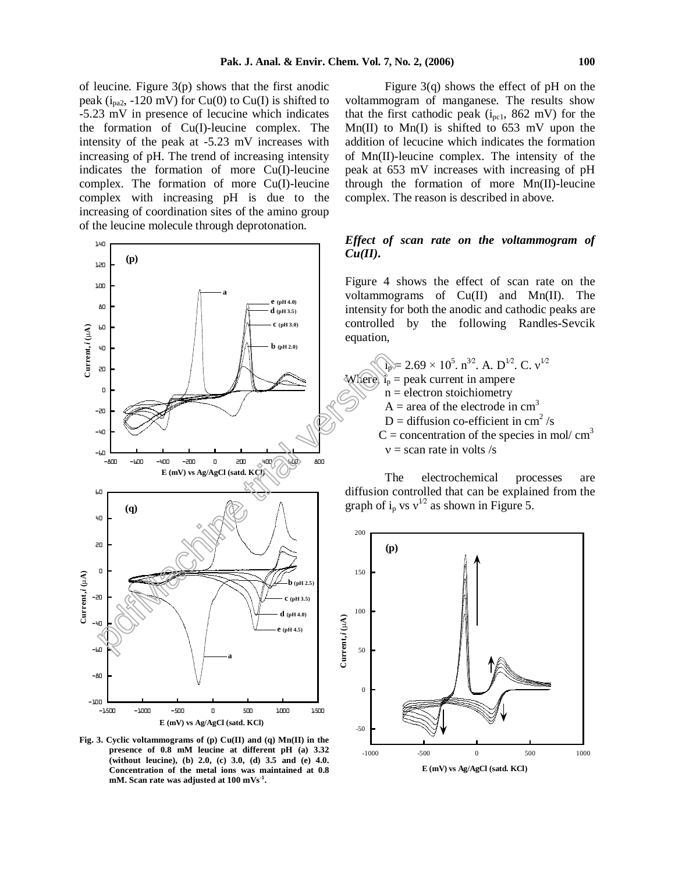of leucine. Figure 3(p) shows that the first anodic peak ( $i_{pa2}$ , -120 mV) for Cu(0) to Cu(I) is shifted to -5.23 mV in presence of lecucine which indicates the formation of Cu(I)-leucine complex. The intensity of the peak at -5.23 mV increases with increasing of pH. The trend of increasing intensity indicates the formation of more Cu(I)-leucine complex. The formation of more Cu(I)-leucine complex with increasing pH is due to the increasing of coordination sites of the amino group of the leucine molecule through deprotonation.



**Fig. 3. Cyclic voltammograms of (p) Cu(II) and (q) Mn(II) in the presence of 0.8 mM leucine at different pH (a) 3.32 (without leucine), (b) 2.0, (c) 3.0, (d) 3.5 and (e) 4.0. Concentration of the metal ions was maintained at 0.8 mM. Scan rate was adjusted at 100 mVs -1 .**

Figure 3(q) shows the effect of pH on the voltammogram of manganese. The results show that the first cathodic peak  $(i_{pc1}, 862 \text{ mV})$  for the  $Mn(II)$  to  $Mn(I)$  is shifted to 653 mV upon the addition of lecucine which indicates the formation of Mn(II)-leucine complex. The intensity of the peak at 653 mV increases with increasing of pH through the formation of more Mn(II)-leucine complex. The reason is described in above.

# *Effect of scan rate on the voltammogram of Cu(II)***.**

Figure 4 shows the effect of scan rate on the voltammograms of Cu(II) and Mn(II). The intensity for both the anodic and cathodic peaks are controlled by the following Randles-Sevcik equation,

 $i_p = 2.69 \times 10^5$ .  $n^{32}$ . A.  $D^{12}$ . C.  $v^{12}$ Where,  $i_p$  = peak current in ampere  $n =$  electron stoichiometry  $A = \text{area of the electrode in cm}^3$ D = diffusion co-efficient in cm<sup>2</sup>/s D = diffusion co-efficient in cm<sup>2</sup>/s<br>C = concentration of the species in mol/ cm<sup>3</sup>  $v =$ scan rate in volts /s

The electrochemical processes are diffusion controlled that can be explained from the graph of i<sub>p</sub> vs  $v^{1/2}$  as shown in Figure 5.

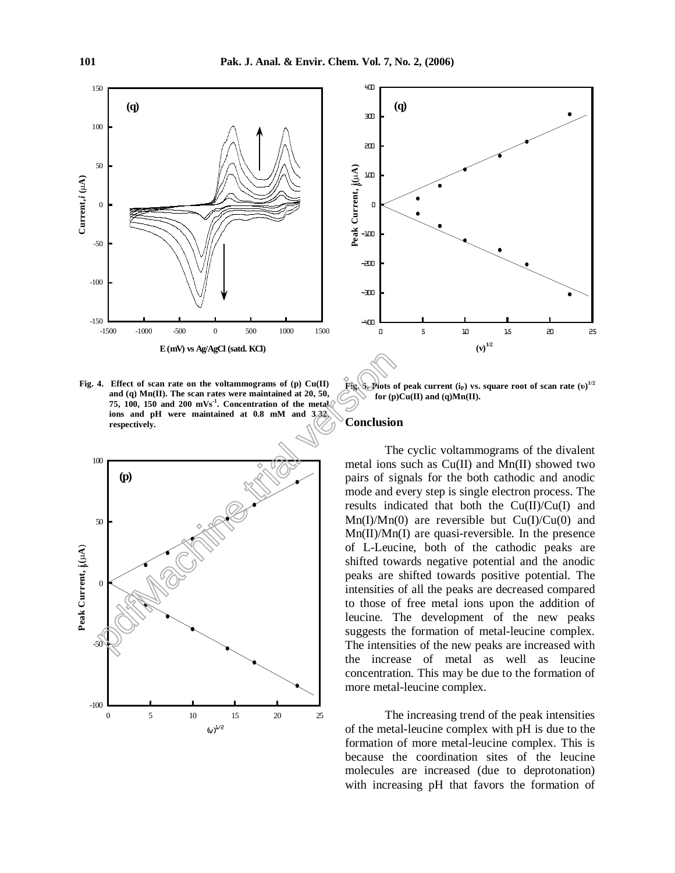

**Fig. 4. Effect of scan rate on the voltammograms of (p) Cu(II) and (q) Mn(II). The scan rates were maintained at 20, 50, 75, 100, 150 and 200 mVs -1 . Concentration of the metal ions and pH were maintained at 0.8 mM and 3.32, respectively.**





**Fig. 5. Plots** of peak current  $(i_P)$  vs. square root of scan rate  $(i_U)^{1/2}$  $for$   $(p)Cu(II)$  and  $(q)Mn(II)$ .

#### **Conclusion**

The cyclic voltammograms of the divalent metal ions such as Cu(II) and Mn(II) showed two pairs of signals for the both cathodic and anodic mode and every step is single electron process. The results indicated that both the Cu(II)/Cu(I) and  $Mn(I)/Mn(0)$  are reversible but  $Cu(I)/Cu(0)$  and Mn(II)/Mn(I) are quasi-reversible. In the presence of L-Leucine, both of the cathodic peaks are shifted towards negative potential and the anodic peaks are shifted towards positive potential. The intensities of all the peaks are decreased compared to those of free metal ions upon the addition of leucine. The development of the new peaks suggests the formation of metal-leucine complex. The intensities of the new peaks are increased with the increase of metal as well as leucine concentration. This may be due to the formation of more metal-leucine complex.

The increasing trend of the peak intensities of the metal-leucine complex with pH is due to the formation of more metal-leucine complex. This is because the coordination sites of the leucine molecules are increased (due to deprotonation) with increasing pH that favors the formation of